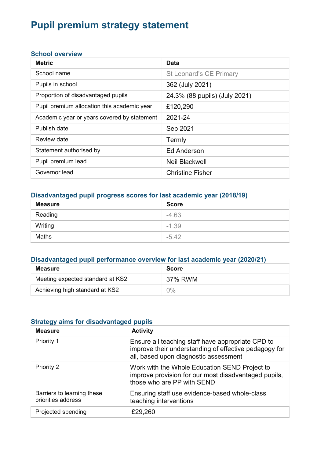# Pupil premium strategy statement

#### School overview

| <b>Metric</b>                               | Data                          |
|---------------------------------------------|-------------------------------|
| School name                                 | St Leonard's CE Primary       |
| Pupils in school                            | 362 (July 2021)               |
| Proportion of disadvantaged pupils          | 24.3% (88 pupils) (July 2021) |
| Pupil premium allocation this academic year | £120,290                      |
| Academic year or years covered by statement | 2021-24                       |
| Publish date                                | Sep 2021                      |
| Review date                                 | Termly                        |
| Statement authorised by                     | <b>Ed Anderson</b>            |
| Pupil premium lead                          | <b>Neil Blackwell</b>         |
| Governor lead                               | <b>Christine Fisher</b>       |

## Disadvantaged pupil progress scores for last academic year (2018/19)

| <b>Measure</b> | <b>Score</b> |
|----------------|--------------|
| Reading        | $-4.63$      |
| Writing        | $-1.39$      |
| Maths          | $-5.42$      |

# Disadvantaged pupil performance overview for last academic year (2020/21)

| <b>Measure</b>                   | <b>Score</b> |
|----------------------------------|--------------|
| Meeting expected standard at KS2 | 37% RWM      |
| Achieving high standard at KS2   | $0\%$        |

#### Strategy aims for disadvantaged pupils

| <b>Measure</b>                                   | <b>Activity</b>                                                                                                                                     |
|--------------------------------------------------|-----------------------------------------------------------------------------------------------------------------------------------------------------|
| Priority 1                                       | Ensure all teaching staff have appropriate CPD to<br>improve their understanding of effective pedagogy for<br>all, based upon diagnostic assessment |
| Priority 2                                       | Work with the Whole Education SEND Project to<br>improve provision for our most disadvantaged pupils,<br>those who are PP with SEND                 |
| Barriers to learning these<br>priorities address | Ensuring staff use evidence-based whole-class<br>teaching interventions                                                                             |
| Projected spending                               | £29,260                                                                                                                                             |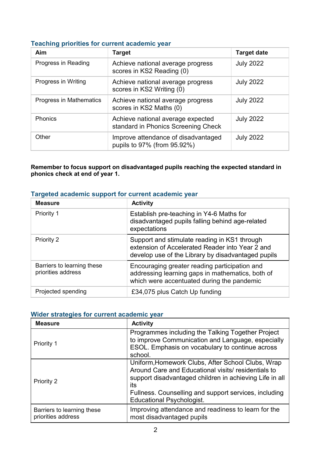#### Teaching priorities for current academic year

| Aim                     | <b>Target</b>                                                            | <b>Target date</b> |
|-------------------------|--------------------------------------------------------------------------|--------------------|
| Progress in Reading     | Achieve national average progress<br>scores in KS2 Reading (0)           | <b>July 2022</b>   |
| Progress in Writing     | Achieve national average progress<br>scores in KS2 Writing (0)           | <b>July 2022</b>   |
| Progress in Mathematics | Achieve national average progress<br>scores in KS2 Maths (0)             | <b>July 2022</b>   |
| Phonics                 | Achieve national average expected<br>standard in Phonics Screening Check | <b>July 2022</b>   |
| Other                   | Improve attendance of disadvantaged<br>pupils to 97% (from 95.92%)       | <b>July 2022</b>   |

Remember to focus support on disadvantaged pupils reaching the expected standard in phonics check at end of year 1.

## Targeted academic support for current academic year

| <b>Measure</b>                                   | <b>Activity</b>                                                                                                                                       |
|--------------------------------------------------|-------------------------------------------------------------------------------------------------------------------------------------------------------|
| Priority 1                                       | Establish pre-teaching in Y4-6 Maths for<br>disadvantaged pupils falling behind age-related<br>expectations                                           |
| Priority 2                                       | Support and stimulate reading in KS1 through<br>extension of Accelerated Reader into Year 2 and<br>develop use of the Library by disadvantaged pupils |
| Barriers to learning these<br>priorities address | Encouraging greater reading participation and<br>addressing learning gaps in mathematics, both of<br>which were accentuated during the pandemic       |
| Projected spending                               | £34,075 plus Catch Up funding                                                                                                                         |

## Wider strategies for current academic year

| <b>Measure</b>                                   | <b>Activity</b>                                                                                                                                                                                                                     |
|--------------------------------------------------|-------------------------------------------------------------------------------------------------------------------------------------------------------------------------------------------------------------------------------------|
| Priority 1                                       | Programmes including the Talking Together Project<br>to improve Communication and Language, especially<br>ESOL. Emphasis on vocabulary to continue across<br>school.                                                                |
| Priority 2                                       | Uniform, Homework Clubs, After School Clubs, Wrap<br>Around Care and Educational visits/ residentials to<br>support disadvantaged children in achieving Life in all<br>its<br>Fullness. Counselling and support services, including |
|                                                  | <b>Educational Psychologist.</b>                                                                                                                                                                                                    |
| Barriers to learning these<br>priorities address | Improving attendance and readiness to learn for the<br>most disadvantaged pupils                                                                                                                                                    |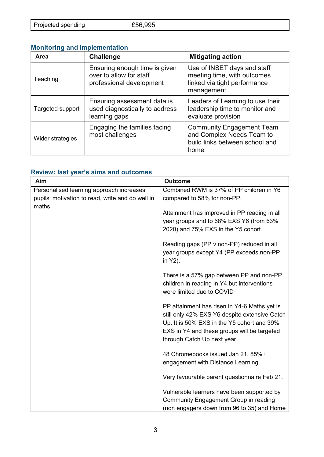| Projected spending | E56,995 |
|--------------------|---------|
|                    |         |

# Monitoring and Implementation

| Area             | <b>Challenge</b>                                                                     | <b>Mitigating action</b>                                                                                 |
|------------------|--------------------------------------------------------------------------------------|----------------------------------------------------------------------------------------------------------|
| Teaching         | Ensuring enough time is given<br>over to allow for staff<br>professional development | Use of INSET days and staff<br>meeting time, with outcomes<br>linked via tight performance<br>management |
| Targeted support | Ensuring assessment data is<br>used diagnostically to address<br>learning gaps       | Leaders of Learning to use their<br>leadership time to monitor and<br>evaluate provision                 |
| Wider strategies | Engaging the families facing<br>most challenges                                      | <b>Community Engagement Team</b><br>and Complex Needs Team to<br>build links between school and<br>home  |

# Review: last year's aims and outcomes

| Aim                                              | <b>Outcome</b>                                |
|--------------------------------------------------|-----------------------------------------------|
| Personalised learning approach increases         | Combined RWM is 37% of PP children in Y6      |
| pupils' motivation to read, write and do well in | compared to 58% for non-PP.                   |
| maths                                            |                                               |
|                                                  | Attainment has improved in PP reading in all  |
|                                                  | year groups and to 68% EXS Y6 (from 63%       |
|                                                  | 2020) and 75% EXS in the Y5 cohort.           |
|                                                  | Reading gaps (PP v non-PP) reduced in all     |
|                                                  | year groups except Y4 (PP exceeds non-PP      |
|                                                  | in Y2).                                       |
|                                                  |                                               |
|                                                  | There is a 57% gap between PP and non-PP      |
|                                                  | children in reading in Y4 but interventions   |
|                                                  | were limited due to COVID                     |
|                                                  | PP attainment has risen in Y4-6 Maths yet is  |
|                                                  | still only 42% EXS Y6 despite extensive Catch |
|                                                  | Up. It is 50% EXS in the Y5 cohort and 39%    |
|                                                  | EXS in Y4 and these groups will be targeted   |
|                                                  | through Catch Up next year.                   |
|                                                  |                                               |
|                                                  | 48 Chromebooks issued Jan 21, 85%+            |
|                                                  | engagement with Distance Learning.            |
|                                                  | Very favourable parent questionnaire Feb 21.  |
|                                                  |                                               |
|                                                  | Vulnerable learners have been supported by    |
|                                                  | <b>Community Engagement Group in reading</b>  |
|                                                  | (non engagers down from 96 to 35) and Home    |